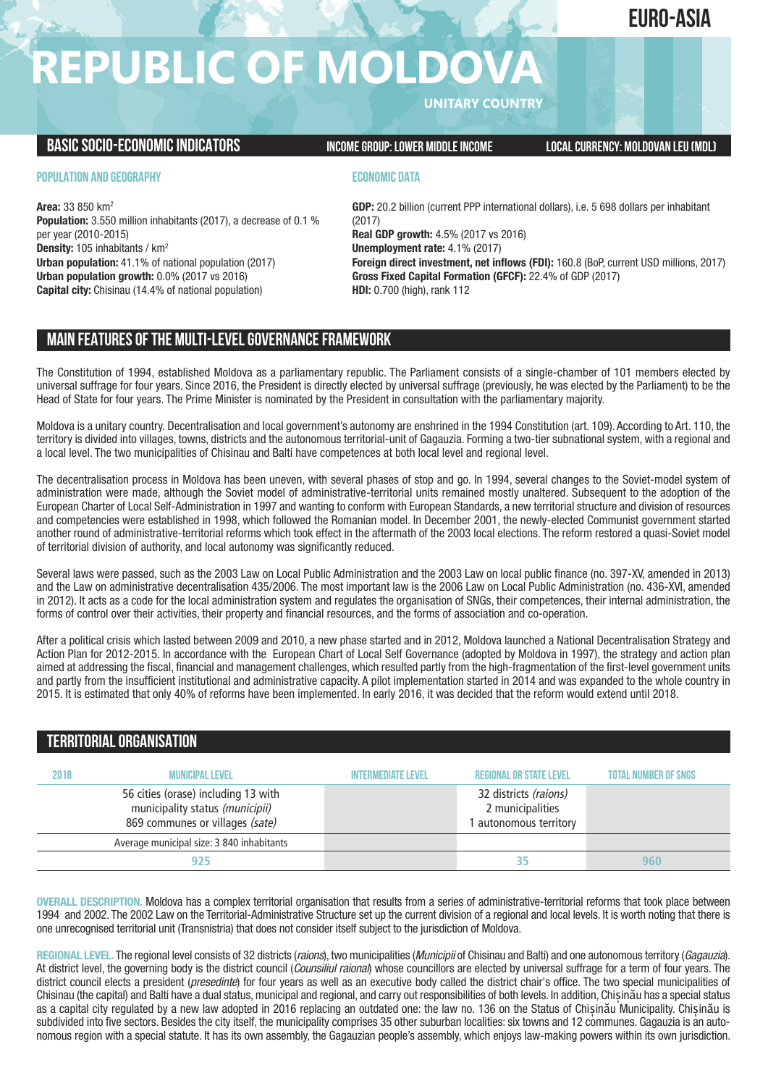## **EURO-ASIA**

## **REPUBLIC OF MOLDOV**

**UNITARY COUNTRY**

## **BASICSOCIO-ECONOMICINDICATORS INCOMEGROUP:LOWER MIDDLEINCOME LOCALCURRENCY: MOLDOVAN LEU(MDL)**

#### **POPULATION AND GEOGRAPHY**

**Area:** 33 850 km2 **Population:** 3.550 million inhabitants (2017), a decrease of 0.1 % per year (2010-2015) **Density:** 105 inhabitants / km2 **Urban population:** 41.1% of national population (2017) **Urban population growth:** 0.0% (2017 vs 2016) **Capital city:** Chisinau (14.4% of national population)

### **ECONOMIC DATA**

**GDP:** 20.2 billion (current PPP international dollars), i.e. 5 698 dollars per inhabitant (2017) **Real GDP growth:** 4.5% (2017 vs 2016) **Unemployment rate:** 4.1% (2017) **Foreign direct investment, net inflows (FDI):** 160.8 (BoP, current USD millions, 2017) **Gross Fixed Capital Formation (GFCF):** 22.4% of GDP (2017) **HDI:** 0.700 (high), rank 112

## **MAIN FEATURESOFTHE MULTI-LEVELGOVERNANCEFRAMEWORK**

The Constitution of 1994, established Moldova as a parliamentary republic. The Parliament consists of a single-chamber of 101 members elected by universal suffrage for four years. Since 2016, the President is directly elected by universal suffrage (previously, he was elected by the Parliament) to be the Head of State for four years. The Prime Minister is nominated by the President in consultation with the parliamentary majority.

Moldova is a unitary country. Decentralisation and local government's autonomy are enshrined in the 1994 Constitution (art. 109). According to Art. 110, the territory is divided into villages, towns, districts and the autonomous territorial-unit of Gagauzia. Forming a two-tier subnational system, with a regional and a local level. The two municipalities of Chisinau and Balti have competences at both local level and regional level.

The decentralisation process in Moldova has been uneven, with several phases of stop and go. In 1994, several changes to the Soviet-model system of administration were made, although the Soviet model of administrative-territorial units remained mostly unaltered. Subsequent to the adoption of the European Charter of Local Self-Administration in 1997 and wanting to conform with European Standards, a new territorial structure and division of resources and competencies were established in 1998, which followed the Romanian model. In December 2001, the newly-elected Communist government started another round of administrative-territorial reforms which took effect in the aftermath of the 2003 local elections. The reform restored a quasi-Soviet model of territorial division of authority, and local autonomy was significantly reduced.

Several laws were passed, such as the 2003 Law on Local Public Administration and the 2003 Law on local public finance (no. 397-XV, amended in 2013) and the Law on administrative decentralisation 435/2006. The most important law is the 2006 Law on Local Public Administration (no. 436-XVI, amended in 2012). It acts as a code for the local administration system and regulates the organisation of SNGs, their competences, their internal administration, the forms of control over their activities, their property and financial resources, and the forms of association and co-operation.

After a political crisis which lasted between 2009 and 2010, a new phase started and in 2012, Moldova launched a National Decentralisation Strategy and Action Plan for 2012-2015. In accordance with the European Chart of Local Self Governance (adopted by Moldova in 1997), the strategy and action plan aimed at addressing the fiscal, financial and management challenges, which resulted partly from the high-fragmentation of the first-level government units and partly from the insufficient institutional and administrative capacity. A pilot implementation started in 2014 and was expanded to the whole country in 2015. It is estimated that only 40% of reforms have been implemented. In early 2016, it was decided that the reform would extend until 2018.

## **TERRITORIALORGANISATION**

| 2018 | <b>MUNICIPAL LEVEL</b>                                                                                    | <b>INTERMEDIATE LEVEL</b> | <b>REGIONAL OR STATE LEVEL</b>                                      | <b>TOTAL NUMBER OF SNGS</b> |
|------|-----------------------------------------------------------------------------------------------------------|---------------------------|---------------------------------------------------------------------|-----------------------------|
|      | 56 cities (orase) including 13 with<br>municipality status (municipii)<br>869 communes or villages (sate) |                           | 32 districts (raions)<br>2 municipalities<br>1 autonomous territory |                             |
|      | Average municipal size: 3 840 inhabitants                                                                 |                           |                                                                     |                             |
|      | 925                                                                                                       |                           | 35                                                                  | 960                         |

**OVERALL DESCRIPTION.** Moldova has a complex territorial organisation that results from a series of administrative-territorial reforms that took place between 1994 and 2002. The 2002 Law on the Territorial-Administrative Structure set up the current division of a regional and local levels. It is worth noting that there is one unrecognised territorial unit (Transnistria) that does not consider itself subject to the jurisdiction of Moldova.

**REGIONAL LEVEL.** The regional level consists of 32 districts (*raions*), two municipalities (*Municipii* of Chisinau and Balti) and one autonomous territory (*Gagauzia*). At district level, the governing body is the district council (*Counsiliul raional*) whose councillors are elected by universal suffrage for a term of four years. The district council elects a president (*presedinte*) for four years as well as an executive body called the district chair's office. The two special municipalities of Chisinau (the capital) and Balti have a dual status, municipal and regional, and carry out responsibilities of both levels. In addition, Chișinău has a special status as a capital city regulated by a new law adopted in 2016 replacing an outdated one: the law no. 136 on the Status of Chișinău Municipality. Chișinău is subdivided into five sectors. Besides the city itself, the municipality comprises 35 other suburban localities: six towns and 12 communes. Gagauzia is an autonomous region with a special statute. It has its own assembly, the Gagauzian people's assembly, which enjoys law-making powers within its own jurisdiction.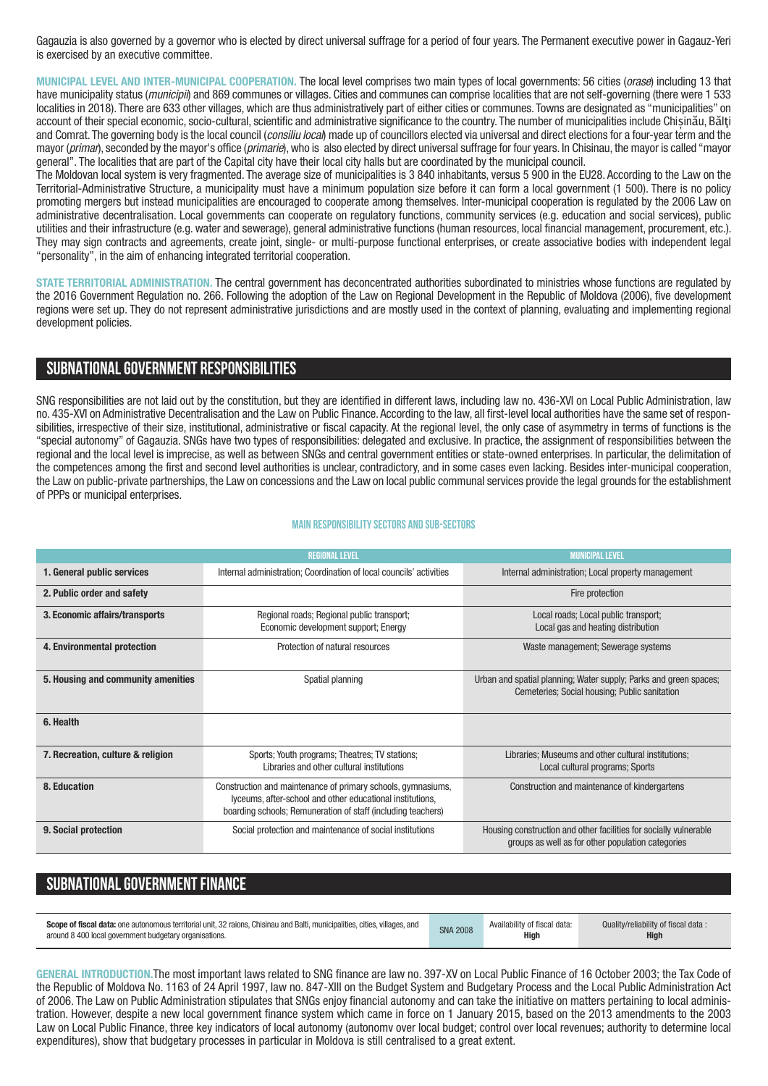Gagauzia is also governed by a governor who is elected by direct universal suffrage for a period of four years. The Permanent executive power in Gagauz-Yeri is exercised by an executive committee.

**MUNICIPAL LEVEL AND INTER-MUNICIPAL COOPERATION.** The local level comprises two main types of local governments: 56 cities (*orase*) including 13 that have municipality status (*municipii*) and 869 communes or villages. Cities and communes can comprise localities that are not self-governing (there were 1 533 localities in 2018). There are 633 other villages, which are thus administratively part of either cities or communes. Towns are designated as "municipalities" on account of their special economic, socio-cultural, scientific and administrative significance to the country. The number of municipalities include Chișinău, Bălţi and Comrat. The governing body is the local council (*consiliu local*) made up of councillors elected via universal and direct elections for a four-year term and the mayor (*primar*), seconded by the mayor's office (*primarie*),who is also elected by direct universal suffrage for four years. In Chisinau, the mayor is called "mayor general". The localities that are part of the Capital city have their local city halls but are coordinated by the municipal council.

The Moldovan local system is very fragmented. The average size of municipalities is 3 840 inhabitants, versus 5 900 in the EU28. According to the Law on the Territorial-Administrative Structure, a municipality must have a minimum population size before it can form a local government (1 500). There is no policy promoting mergers but instead municipalities are encouraged to cooperate among themselves. Inter-municipal cooperation is regulated by the 2006 Law on administrative decentralisation. Local governments can cooperate on regulatory functions, community services (e.g. education and social services), public utilities and their infrastructure (e.g. water and sewerage), general administrative functions (human resources, local financial management, procurement, etc.). They may sign contracts and agreements, create joint, single- or multi-purpose functional enterprises, or create associative bodies with independent legal "personality", in the aim of enhancing integrated territorial cooperation.

**STATE TERRITORIAL ADMINISTRATION.** The central government has deconcentrated authorities subordinated to ministries whose functions are regulated by the 2016 Government Regulation no. 266. Following the adoption of the Law on Regional Development in the Republic of Moldova (2006), five development regions were set up. They do not represent administrative jurisdictions and are mostly used in the context of planning, evaluating and implementing regional development policies.

### **SUBNATIONALGOVERNMENT RESPONSIBILITIES**

SNG responsibilities are not laid out by the constitution, but they are identified in different laws, including law no. 436-XVI on Local Public Administration, law no. 435-XVI on Administrative Decentralisation and the Law on Public Finance. According to the law, all first-level local authorities have the same set of responsibilities, irrespective of their size, institutional, administrative or fiscal capacity. At the regional level, the only case of asymmetry in terms of functions is the "special autonomy" of Gagauzia. SNGs have two types of responsibilities: delegated and exclusive. In practice, the assignment of responsibilities between the regional and the local level is imprecise, as well as between SNGs and central government entities or state-owned enterprises. In particular, the delimitation of the competences among the first and second level authorities is unclear, contradictory, and in some cases even lacking. Besides inter-municipal cooperation, the Law on public-private partnerships, the Law on concessions and the Law on local public communal services provide the legal grounds for the establishment of PPPs or municipal enterprises.

#### **Main responsibilitysectors and sub-sectors**

|                                                                                                                      | <b>REGIONAL LEVEL</b>                                                                                                                                                                     | <b>MUNICIPAL LEVEL</b>                                                                                                 |  |
|----------------------------------------------------------------------------------------------------------------------|-------------------------------------------------------------------------------------------------------------------------------------------------------------------------------------------|------------------------------------------------------------------------------------------------------------------------|--|
| 1. General public services                                                                                           | Internal administration; Coordination of local councils' activities                                                                                                                       | Internal administration; Local property management                                                                     |  |
| 2. Public order and safety                                                                                           |                                                                                                                                                                                           | Fire protection                                                                                                        |  |
| 3. Economic affairs/transports<br>Regional roads; Regional public transport;<br>Economic development support; Energy |                                                                                                                                                                                           | Local roads; Local public transport;<br>Local gas and heating distribution                                             |  |
| 4. Environmental protection                                                                                          | Protection of natural resources                                                                                                                                                           | Waste management; Sewerage systems                                                                                     |  |
| 5. Housing and community amenities<br>Spatial planning                                                               |                                                                                                                                                                                           | Urban and spatial planning; Water supply; Parks and green spaces;<br>Cemeteries; Social housing; Public sanitation     |  |
| 6. Health                                                                                                            |                                                                                                                                                                                           |                                                                                                                        |  |
| 7. Recreation, culture & religion                                                                                    | Sports; Youth programs; Theatres; TV stations;<br>Libraries and other cultural institutions                                                                                               | Libraries; Museums and other cultural institutions;<br>Local cultural programs; Sports                                 |  |
| 8. Education                                                                                                         | Construction and maintenance of primary schools, gymnasiums,<br>lyceums, after-school and other educational institutions,<br>boarding schools; Remuneration of staff (including teachers) | Construction and maintenance of kindergartens                                                                          |  |
| 9. Social protection                                                                                                 | Social protection and maintenance of social institutions                                                                                                                                  | Housing construction and other facilities for socially vulnerable<br>groups as well as for other population categories |  |

## **SUBNATIONAL GOVERNMENT FINANCE**

| Scope of fiscal data: one autonomous territorial unit, 32 raions, Chisinau and Balti, municipalities, cities, villages, and | <b>SNA 2008</b> | Availability of fiscal data: | Quality/reliability of fiscal data: |
|-----------------------------------------------------------------------------------------------------------------------------|-----------------|------------------------------|-------------------------------------|
| around 8 400 local government budgetary organisations.                                                                      |                 | High                         | High                                |

**GENERAL INTRODUCTION.**The most important laws related to SNG finance are law no. 397-XV on Local Public Finance of 16 October 2003; the Tax Code of the Republic of Moldova No. 1163 of 24 April 1997, law no. 847-XIII on the Budget System and Budgetary Process and the Local Public Administration Act of 2006. The Law on Public Administration stipulates that SNGs enjoy financial autonomy and can take the initiative on matters pertaining to local administration. However, despite a new local government finance system which came in force on 1 January 2015, based on the 2013 amendments to the 2003 Law on Local Public Finance, three key indicators of local autonomy (autonomv over local budget; control over local revenues; authority to determine local expenditures), show that budgetary processes in particular in Moldova is still centralised to a great extent.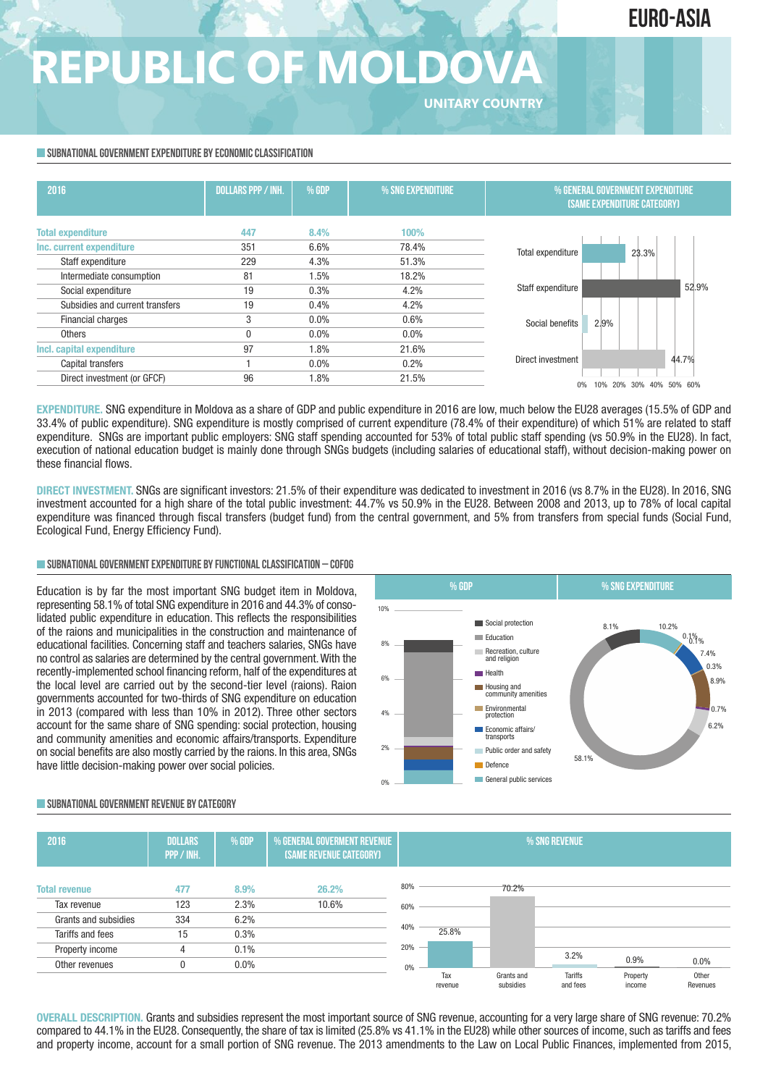## **EURO-ASIA**

# **REPUBLIC OF MOLDOVA**

**UNITARY COUNTRY**

#### **SUBNATIONAL GOVERNMENT EXPENDITURE BY ECONOMIC CLASSIFICATION**

| 2016                            | <b>DOLLARS PPP / INH.</b> | % GDP   | % SNG EXPENDITURE | % GENERAL GOVERNMENT EXPENDITURE<br><b>(SAME EXPENDITURE CATEGORY)</b> |
|---------------------------------|---------------------------|---------|-------------------|------------------------------------------------------------------------|
| <b>Total expenditure</b>        | 447                       | 8.4%    | 100%              |                                                                        |
| Inc. current expenditure        | 351                       | 6.6%    | 78.4%             | Total expenditure<br>23.3%                                             |
| Staff expenditure               | 229                       | 4.3%    | 51.3%             |                                                                        |
| Intermediate consumption        | 81                        | $1.5\%$ | 18.2%             |                                                                        |
| Social expenditure              | 19                        | 0.3%    | 4.2%              | 52.9%<br>Staff expenditure                                             |
| Subsidies and current transfers | 19                        | 0.4%    | 4.2%              |                                                                        |
| <b>Financial charges</b>        | 3                         | $0.0\%$ | 0.6%              | 2.9%<br>Social benefits                                                |
| Others                          | $\mathbf{0}$              | $0.0\%$ | $0.0\%$           |                                                                        |
| Incl. capital expenditure       | 97                        | 1.8%    | 21.6%             |                                                                        |
| Capital transfers               |                           | $0.0\%$ | 0.2%              | 44.7%<br>Direct investment                                             |
| Direct investment (or GFCF)     | 96                        | 1.8%    | 21.5%             | 20%<br>30%<br>50%<br>60%<br>10%<br>40%<br>$0\%$                        |

**EXPENDITURE.** SNG expenditure in Moldova as a share of GDP and public expenditure in 2016 are low, much below the EU28 averages (15.5% of GDP and 33.4% of public expenditure). SNG expenditure is mostly comprised of current expenditure (78.4% of their expenditure) of which 51% are related to staff expenditure. SNGs are important public employers: SNG staff spending accounted for 53% of total public staff spending (vs 50.9% in the EU28). In fact, execution of national education budget is mainly done through SNGs budgets (including salaries of educational staff), without decision-making power on these financial flows.

**DIRECT INVESTMENT.** SNGs are significant investors: 21.5% of their expenditure was dedicated to investment in 2016 (vs 8.7% in the EU28). In 2016, SNG investment accounted for a high share of the total public investment: 44.7% vs 50.9% in the EU28. Between 2008 and 2013, up to 78% of local capital expenditure was financed through fiscal transfers (budget fund) from the central government, and 5% from transfers from special funds (Social Fund, Ecological Fund, Energy Efficiency Fund).

#### **SUBNATIONALGOVERNMENTEXPENDITURE BYFUNCTIONALCLASSIFICATION – COFOG**

Education is by far the most important SNG budget item in Moldova, representing 58.1% of total SNG expenditure in 2016 and 44.3% of consolidated public expenditure in education. This reflects the responsibilities of the raions and municipalities in the construction and maintenance of educational facilities. Concerning staff and teachers salaries, SNGs have no control as salaries are determined by the central government.With the recently-implemented school financing reform, half of the expenditures at the local level are carried out by the second-tier level (raions). Raion governments accounted for two-thirds of SNG expenditure on education in 2013 (compared with less than 10% in 2012). Three other sectors account for the same share of SNG spending: social protection, housing and community amenities and economic affairs/transports. Expenditure on social benefits are also mostly carried by the raions. In this area, SNGs have little decision-making power over social policies.



#### **SUBNATIONALGOVERNMENT REVENUE BYCATEGORY**



**OVERALL DESCRIPTION.** Grants and subsidies represent the most important source of SNG revenue, accounting for a very large share of SNG revenue: 70.2% compared to 44.1% in the EU28. Consequently, the share of tax is limited (25.8% vs 41.1% in the EU28) while other sources of income, such as tariffs and fees and property income, account for a small portion of SNG revenue. The 2013 amendments to the Law on Local Public Finances, implemented from 2015,